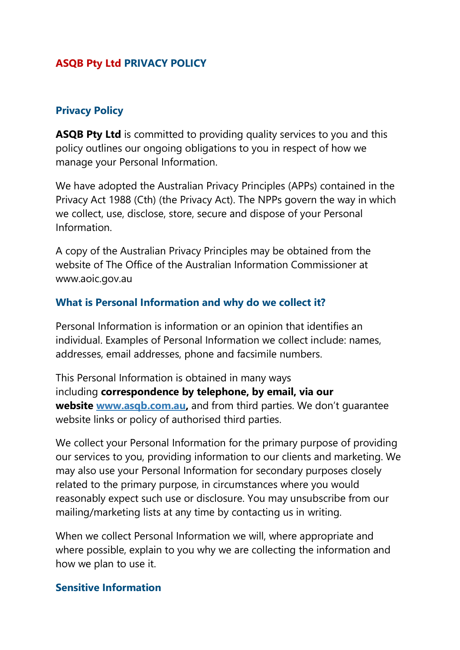# **ASQB Pty Ltd PRIVACY POLICY**

### **Privacy Policy**

**ASQB Pty Ltd** is committed to providing quality services to you and this policy outlines our ongoing obligations to you in respect of how we manage your Personal Information.

We have adopted the Australian Privacy Principles (APPs) contained in the Privacy Act 1988 (Cth) (the Privacy Act). The NPPs govern the way in which we collect, use, disclose, store, secure and dispose of your Personal Information.

A copy of the Australian Privacy Principles may be obtained from the website of The Office of the Australian Information Commissioner at www.aoic.gov.au

#### **What is Personal Information and why do we collect it?**

Personal Information is information or an opinion that identifies an individual. Examples of Personal Information we collect include: names, addresses, email addresses, phone and facsimile numbers.

This Personal Information is obtained in many ways including **correspondence by telephone, by email, via our website [www.asqb.com.au,](http://www.asqb.com.au/)** and from third parties. We don't guarantee website links or policy of authorised third parties.

We collect your Personal Information for the primary purpose of providing our services to you, providing information to our clients and marketing. We may also use your Personal Information for secondary purposes closely related to the primary purpose, in circumstances where you would reasonably expect such use or disclosure. You may unsubscribe from our mailing/marketing lists at any time by contacting us in writing.

When we collect Personal Information we will, where appropriate and where possible, explain to you why we are collecting the information and how we plan to use it.

#### **Sensitive Information**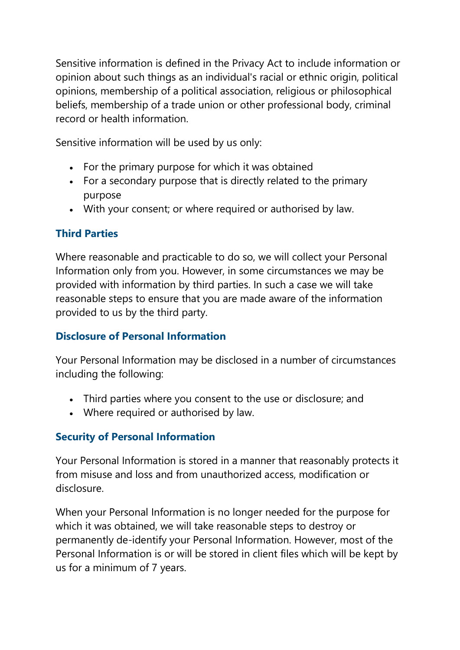Sensitive information is defined in the Privacy Act to include information or opinion about such things as an individual's racial or ethnic origin, political opinions, membership of a political association, religious or philosophical beliefs, membership of a trade union or other professional body, criminal record or health information.

Sensitive information will be used by us only:

- For the primary purpose for which it was obtained
- For a secondary purpose that is directly related to the primary purpose
- With your consent; or where required or authorised by law.

# **Third Parties**

Where reasonable and practicable to do so, we will collect your Personal Information only from you. However, in some circumstances we may be provided with information by third parties. In such a case we will take reasonable steps to ensure that you are made aware of the information provided to us by the third party.

# **Disclosure of Personal Information**

Your Personal Information may be disclosed in a number of circumstances including the following:

- Third parties where you consent to the use or disclosure; and
- Where required or authorised by law.

# **Security of Personal Information**

Your Personal Information is stored in a manner that reasonably protects it from misuse and loss and from unauthorized access, modification or disclosure.

When your Personal Information is no longer needed for the purpose for which it was obtained, we will take reasonable steps to destroy or permanently de-identify your Personal Information. However, most of the Personal Information is or will be stored in client files which will be kept by us for a minimum of 7 years.